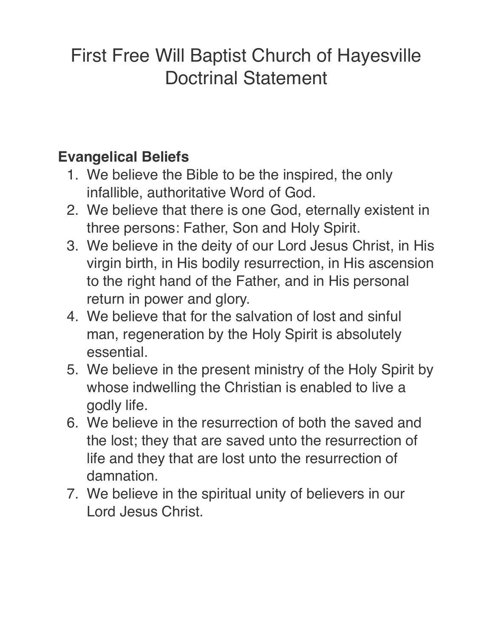## First Free Will Baptist Church of Hayesville Doctrinal Statement

## **Evangelical Beliefs**

- 1. We believe the Bible to be the inspired, the only infallible, authoritative Word of God.
- 2. We believe that there is one God, eternally existent in three persons: Father, Son and Holy Spirit.
- 3. We believe in the deity of our Lord Jesus Christ, in His virgin birth, in His bodily resurrection, in His ascension to the right hand of the Father, and in His personal return in power and glory.
- 4. We believe that for the salvation of lost and sinful man, regeneration by the Holy Spirit is absolutely essential.
- 5. We believe in the present ministry of the Holy Spirit by whose indwelling the Christian is enabled to live a godly life.
- 6. We believe in the resurrection of both the saved and the lost; they that are saved unto the resurrection of life and they that are lost unto the resurrection of damnation.
- 7. We believe in the spiritual unity of believers in our Lord Jesus Christ.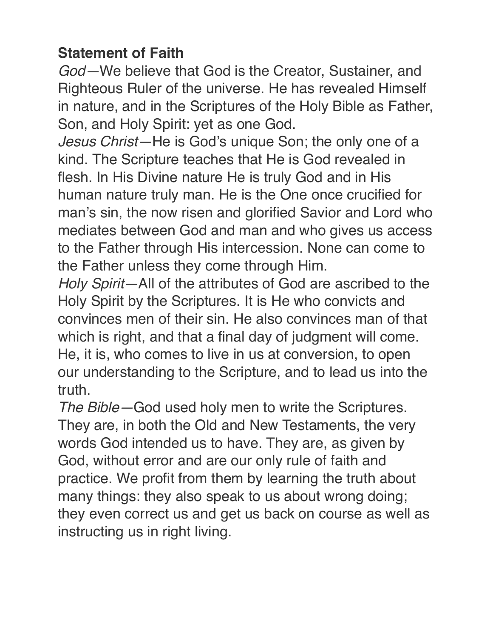## **Statement of Faith**

*God—*We believe that God is the Creator, Sustainer, and Righteous Ruler of the universe. He has revealed Himself in nature, and in the Scriptures of the Holy Bible as Father, Son, and Holy Spirit: yet as one God.

*Jesus Christ—*He is God's unique Son; the only one of a kind. The Scripture teaches that He is God revealed in flesh. In His Divine nature He is truly God and in His human nature truly man. He is the One once crucified for man's sin, the now risen and glorified Savior and Lord who mediates between God and man and who gives us access to the Father through His intercession. None can come to the Father unless they come through Him.

*Holy Spirit—*All of the attributes of God are ascribed to the Holy Spirit by the Scriptures. It is He who convicts and convinces men of their sin. He also convinces man of that which is right, and that a final day of judgment will come. He, it is, who comes to live in us at conversion, to open our understanding to the Scripture, and to lead us into the truth.

*The Bible—*God used holy men to write the Scriptures. They are, in both the Old and New Testaments, the very words God intended us to have. They are, as given by God, without error and are our only rule of faith and practice. We profit from them by learning the truth about many things: they also speak to us about wrong doing; they even correct us and get us back on course as well as instructing us in right living.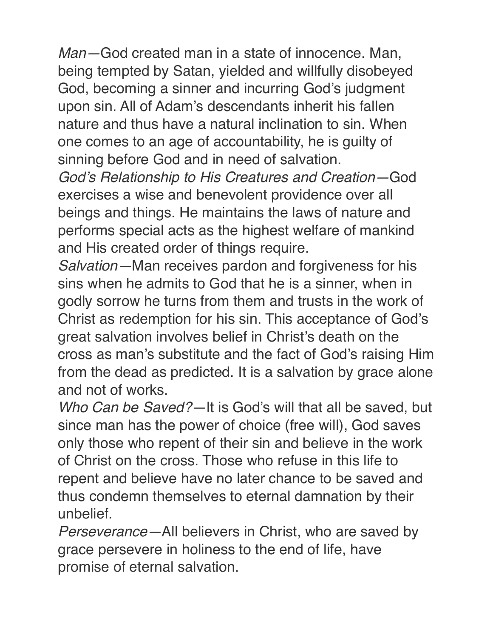*Man—*God created man in a state of innocence. Man, being tempted by Satan, yielded and willfully disobeyed God, becoming a sinner and incurring God's judgment upon sin. All of Adam's descendants inherit his fallen nature and thus have a natural inclination to sin. When one comes to an age of accountability, he is guilty of sinning before God and in need of salvation.

*God's Relationship to His Creatures and Creation—*God exercises a wise and benevolent providence over all beings and things. He maintains the laws of nature and performs special acts as the highest welfare of mankind and His created order of things require.

*Salvation—*Man receives pardon and forgiveness for his sins when he admits to God that he is a sinner, when in godly sorrow he turns from them and trusts in the work of Christ as redemption for his sin. This acceptance of God's great salvation involves belief in Christ's death on the cross as man's substitute and the fact of God's raising Him from the dead as predicted. It is a salvation by grace alone and not of works.

*Who Can be Saved?—*It is God's will that all be saved, but since man has the power of choice (free will), God saves only those who repent of their sin and believe in the work of Christ on the cross. Those who refuse in this life to repent and believe have no later chance to be saved and thus condemn themselves to eternal damnation by their unbelief.

*Perseverance—*All believers in Christ, who are saved by grace persevere in holiness to the end of life, have promise of eternal salvation.